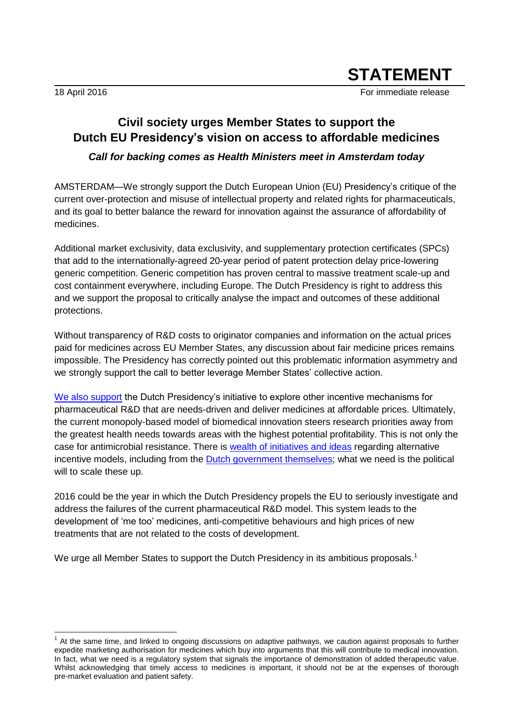$\overline{\phantom{a}}$ 

18 April 2016 **For immediate release** For immediate release

## **Civil society urges Member States to support the Dutch EU Presidency's vision on access to affordable medicines**  *Call for backing comes as Health Ministers meet in Amsterdam today*

AMSTERDAM—We strongly support the Dutch European Union (EU) Presidency's critique of the current over-protection and misuse of intellectual property and related rights for pharmaceuticals, and its goal to better balance the reward for innovation against the assurance of affordability of medicines.

Additional market exclusivity, data exclusivity, and supplementary protection certificates (SPCs) that add to the internationally-agreed 20-year period of patent protection delay price-lowering generic competition. Generic competition has proven central to massive treatment scale-up and cost containment everywhere, including Europe. The Dutch Presidency is right to address this and we support the proposal to critically analyse the impact and outcomes of these additional protections.

Without transparency of R&D costs to originator companies and information on the actual prices paid for medicines across EU Member States, any discussion about fair medicine prices remains impossible. The Presidency has correctly pointed out this problematic information asymmetry and we strongly support the call to better leverage Member States' collective action.

[We also support](http://medecinesalliance.eu/index.php/joint-declaration/) the Dutch Presidency's initiative to explore other incentive mechanisms for pharmaceutical R&D that are needs-driven and deliver medicines at affordable prices. Ultimately, the current monopoly-based model of biomedical innovation steers research priorities away from the greatest health needs towards areas with the highest potential profitability. This is not only the case for antimicrobial resistance. There is [wealth of initiatives and ideas](http://www.unsgaccessmeds.org/#homepage-1) regarding alternative incentive models, including from the [Dutch government themselves;](http://www.unsgaccessmeds.org/inbox/2016/2/27/ministry-of-foreign-affairs-the-kingdom-of-the-netherlands) what we need is the political will to scale these up.

2016 could be the year in which the Dutch Presidency propels the EU to seriously investigate and address the failures of the current pharmaceutical R&D model. This system leads to the development of 'me too' medicines, anti-competitive behaviours and high prices of new treatments that are not related to the costs of development.

We urge all Member States to support the Dutch Presidency in its ambitious proposals.<sup>1</sup>

<sup>1</sup> At the same time, and linked to ongoing discussions on adaptive pathways, we caution against proposals to further expedite marketing authorisation for medicines which buy into arguments that this will contribute to medical innovation. In fact, what we need is a regulatory system that signals the importance of demonstration of added therapeutic value. Whilst acknowledging that timely access to medicines is important, it should not be at the expenses of thorough pre-market evaluation and patient safety.